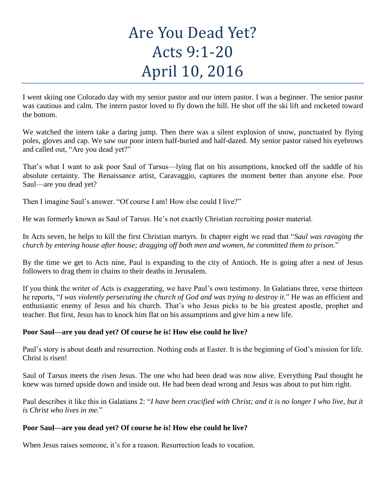# Are You Dead Yet? Acts 9:1-20 April 10, 2016

I went skiing one Colorado day with my senior pastor and our intern pastor. I was a beginner. The senior pastor was cautious and calm. The intern pastor loved to fly down the hill. He shot off the ski lift and rocketed toward the bottom.

We watched the intern take a daring jump. Then there was a silent explosion of snow, punctuated by flying poles, gloves and cap. We saw our poor intern half-buried and half-dazed. My senior pastor raised his eyebrows and called out, "Are you dead yet?"

That's what I want to ask poor Saul of Tarsus—lying flat on his assumptions, knocked off the saddle of his absolute certainty. The Renaissance artist, Caravaggio, captures the moment better than anyone else. Poor Saul—are you dead yet?

Then I imagine Saul's answer. "Of course I am! How else could I live?"

He was formerly known as Saul of Tarsus. He's not exactly Christian recruiting poster material.

In Acts seven, he helps to kill the first Christian martyrs. In chapter eight we read that "*Saul was ravaging the church by entering house after house; dragging off both men and women, he committed them to prison.*"

By the time we get to Acts nine, Paul is expanding to the city of Antioch. He is going after a nest of Jesus followers to drag them in chains to their deaths in Jerusalem.

If you think the writer of Acts is exaggerating, we have Paul's own testimony. In Galatians three, verse thirteen he reports, "*I was violently persecuting the church of God and was trying to destroy it.*" He was an efficient and enthusiastic enemy of Jesus and his church. That's who Jesus picks to be his greatest apostle, prophet and teacher. But first, Jesus has to knock him flat on his assumptions and give him a new life.

## **Poor Saul—are you dead yet? Of course he is! How else could he live?**

Paul's story is about death and resurrection. Nothing ends at Easter. It is the beginning of God's mission for life. Christ is risen!

Saul of Tarsus meets the risen Jesus. The one who had been dead was now alive. Everything Paul thought he knew was turned upside down and inside out. He had been dead wrong and Jesus was about to put him right.

Paul describes it like this in Galatians 2: "*I have been crucified with Christ; and it is no longer I who live, but it is Christ who lives in me.*"

## **Poor Saul—are you dead yet? Of course he is! How else could he live?**

When Jesus raises someone, it's for a reason. Resurrection leads to vocation.